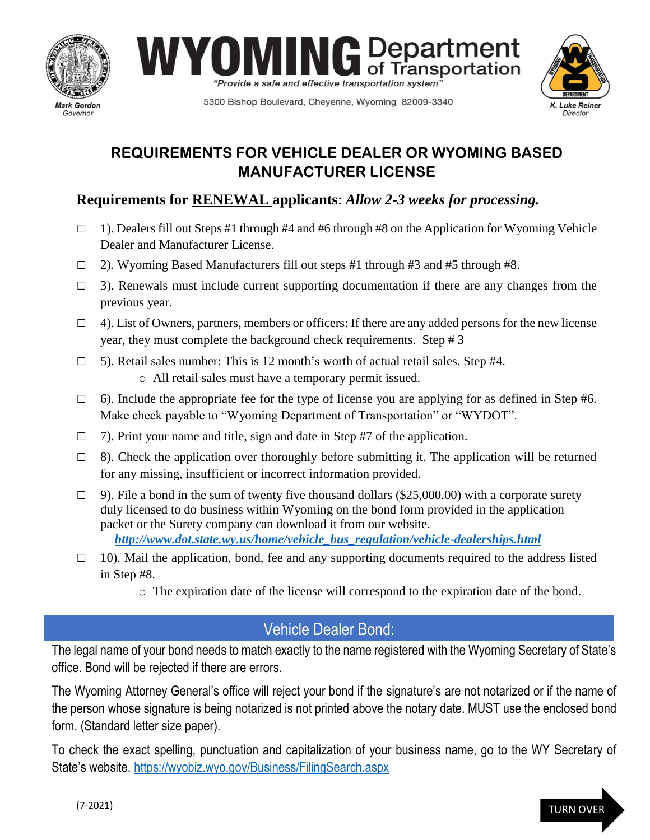





5300 Bishop Boulevard, Cheyenne, Wyoming 82009-3340

## **REQUIREMENTS FOR VEHICLE DEALER OR WYOMING BASED MANUFACTURER LICENSE**

### **Requirements for RENEWAL applicants**: *Allow 2-3 weeks for processing.*

- $\Box$  1). Dealers fill out Steps #1 through #4 and #6 through #8 on the Application for Wyoming Vehicle Dealer and Manufacturer License.
- □ 2). Wyoming Based Manufacturers fill out steps #1 through #3 and #5 through #8.
- $\Box$  3). Renewals must include current supporting documentation if there are any changes from the previous year.
- $\Box$  4). List of Owners, partners, members or officers: If there are any added persons for the new license year, they must complete the background check requirements. Step # 3
- $\Box$  5). Retail sales number: This is 12 month's worth of actual retail sales. Step #4. o All retail sales must have a temporary permit issued.
- $\Box$  6). Include the appropriate fee for the type of license you are applying for as defined in Step #6. Make check payable to "Wyoming Department of Transportation" or "WYDOT".
- $\Box$  7). Print your name and title, sign and date in Step #7 of the application.
- $\Box$  8). Check the application over thoroughly before submitting it. The application will be returned for any missing, insufficient or incorrect information provided.
- $\Box$  9). File a bond in the sum of twenty five thousand dollars (\$25,000.00) with a corporate surety duly licensed to do business within Wyoming on the bond form provided in the application packet or the Surety company can download it from our website. *[http://www.dot.state.wy.us/home/vehicle\\_bus\\_regulation/vehicle-dealerships.html](http://www.dot.state.wy.us/home/vehicle_bus_regulation/vehicle-dealerships.html)*
- $\Box$  10). Mail the application, bond, fee and any supporting documents required to the address listed in Step #8.
	- o The expiration date of the license will correspond to the expiration date of the bond.

# Vehicle Dealer Bond:

The legal name of your bond needs to match exactly to the name registered with the Wyoming Secretary of State's office. Bond will be rejected if there are errors.

The Wyoming Attorney General's office will reject your bond if the signature's are not notarized or if the name of the person whose signature is being notarized is not printed above the notary date. MUST use the enclosed bond form. (Standard letter size paper).

To check the exact spelling, punctuation and capitalization of your business name, go to the WY Secretary of State's website. <https://wyobiz.wyo.gov/Business/FilingSearch.aspx>